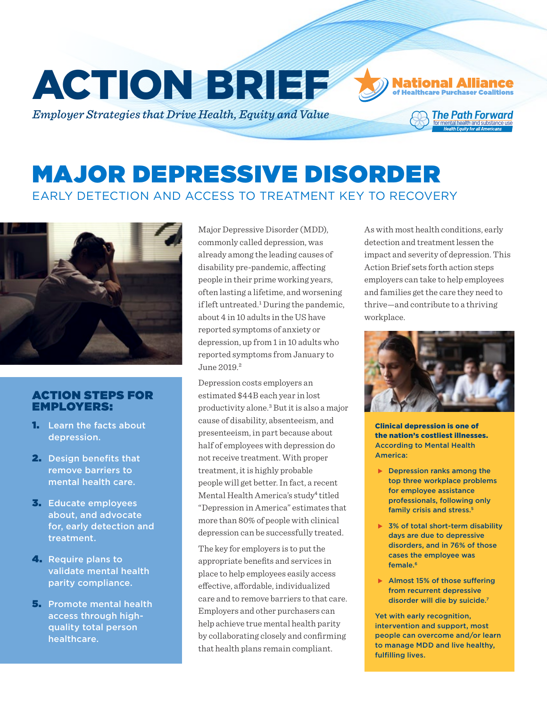ACTION BRIEF

*Employer Strategies that Drive Health, Equity and Value*

# MAJOR DEPRESSIVE DISORDER EARLY DETECTION AND ACCESS TO TREATMENT KEY TO RECOVERY



## ACTION STEPS FOR EMPLOYERS:

- 1. Learn the facts about depression.
- 2. Design benefits that remove barriers to mental health care.
- 3. Educate employees about, and advocate for, early detection and treatment.
- 4. Require plans to validate mental health parity compliance.
- 5. Promote mental health access through highquality total person healthcare.

Major Depressive Disorder (MDD), commonly called depression, was already among the leading causes of disability pre-pandemic, affecting people in their prime working years, often lasting a lifetime, and worsening if left untreated.<sup>1</sup> During the pandemic, about 4 in 10 adults in the US have reported symptoms of anxiety or depression, up from 1 in 10 adults who reported symptoms from January to June 2019.<sup>2</sup>

Depression costs employers an estimated \$44B each year in lost productivity alone.<sup>3</sup> But it is also a major cause of disability, absenteeism, and presenteeism, in part because about half of employees with depression do not receive treatment. With proper treatment, it is highly probable people will get better. In fact, a recent Mental Health America's study<sup>4</sup> titled "Depression in America" estimates that more than 80% of people with clinical depression can be successfully treated.

The key for employers is to put the appropriate benefits and services in place to help employees easily access effective, affordable, individualized care and to remove barriers to that care. Employers and other purchasers can help achieve true mental health parity by collaborating closely and confirming that health plans remain compliant.

As with most health conditions, early detection and treatment lessen the impact and severity of depression. This Action Brief sets forth action steps employers can take to help employees and families get the care they need to thrive—and contribute to a thriving workplace.

*The Path Forward* for mental health and substance use



Clinical depression is one of the nation's costliest illnesses. According to Mental Health America:

- Depression ranks among the top three workplace problems for employee assistance professionals, following only family crisis and stress.<sup>5</sup>
- ▶ 3% of total short-term disability days are due to depressive disorders, and in 76% of those cases the employee was female.6
- Almost 15% of those suffering from recurrent depressive disorder will die by suicide.7

Yet with early recognition, intervention and support, most people can overcome and/or learn to manage MDD and live healthy, fulfilling lives.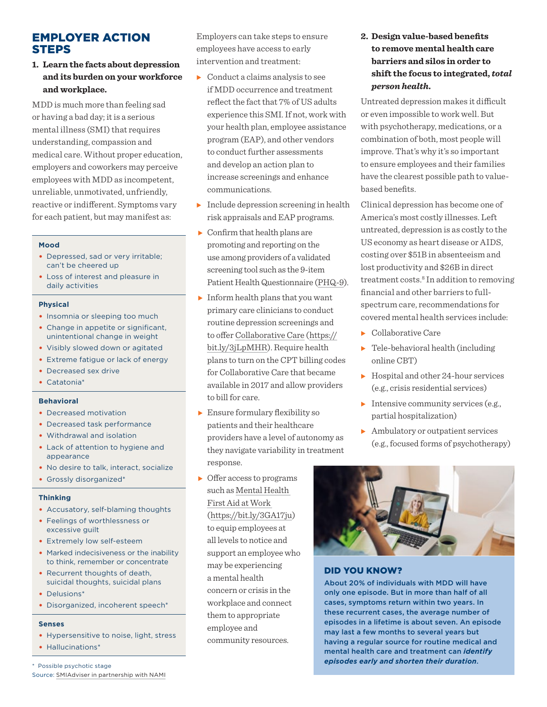# EMPLOYER ACTION **STEPS**

## **1. Learn the facts about depression and its burden on your workforce and workplace.**

MDD is much more than feeling sad or having a bad day; it is a serious mental illness (SMI) that requires understanding, compassion and medical care. Without proper education, employers and coworkers may perceive employees with MDD as incompetent, unreliable, unmotivated, unfriendly, reactive or indifferent. Symptoms vary for each patient, but may manifest as:

#### **Mood**

- Depressed, sad or very irritable; can't be cheered up
- Loss of interest and pleasure in daily activities

#### **Physical**

- Insomnia or sleeping too much
- Change in appetite or significant, unintentional change in weight
- Visibly slowed down or agitated
- Extreme fatigue or lack of energy
- Decreased sex drive
- Catatonia<sup>\*</sup>

### **Behavioral**

- Decreased motivation
- Decreased task performance
- Withdrawal and isolation
- Lack of attention to hygiene and appearance
- . No desire to talk, interact, socialize
- Grossly disorganized\*

### **Thinking**

- Accusatory, self-blaming thoughts
- Feelings of worthlessness or excessive guilt
- Extremely low self-esteem
- Marked indecisiveness or the inability to think, remember or concentrate
- Recurrent thoughts of death. suicidal thoughts, suicidal plans
- Delusions\*
- Disorganized, incoherent speech\*

#### **Senses**

- Hypersensitive to noise, light, stress
- Hallucinations\*

Employers can take steps to ensure employees have access to early intervention and treatment:

- Conduct a claims analysis to see if MDD occurrence and treatment reflect the fact that 7% of US adults experience this SMI. If not, work with your health plan, employee assistance program (EAP), and other vendors to conduct further assessments and develop an action plan to increase screenings and enhance communications.
- $\blacktriangleright$  Include depression screening in health risk appraisals and EAP programs.
- $\triangleright$  Confirm that health plans are promoting and reporting on the use among providers of a validated screening tool such as the 9-item Patient Health Questionnaire ([PHQ-9\)](https://www.mdcalc.com/phq-9-patient-health-questionnaire-9).
- $\blacktriangleright$  Inform health plans that you want primary care clinicians to conduct routine depression screenings and to offer [Collaborative Care](https://www.psychiatry.org/psychiatrists/practice/professional-interests/integrated-care/learn) (https:// bit.ly/3jLpMHR). Require health plans to turn on the CPT billing codes for Collaborative Care that became available in 2017 and allow providers to bill for care.
- Ensure formulary flexibility so patients and their healthcare providers have a level of autonomy as they navigate variability in treatment response.
- ▶ Offer access to programs such as [Mental Health](https://www.mentalhealthfirstaid.org/population-focused-modules/workplace/)  [First Aid at Work](https://www.mentalhealthfirstaid.org/population-focused-modules/workplace/) (https://bit.ly/3GA17ju) to equip employees at all levels to notice and support an employee who may be experiencing a mental health concern or crisis in the workplace and connect them to appropriate employee and community resources.

**2. Design value-based benefits to remove mental health care barriers and silos in order to shift the focus to integrated,** *total person health.*

Untreated depression makes it difficult or even impossible to work well. But with psychotherapy, medications, or a combination of both, most people will improve. That's why it's so important to ensure employees and their families have the clearest possible path to valuebased benefits.

Clinical depression has become one of America's most costly illnesses. Left untreated, depression is as costly to the US economy as heart disease or AIDS, costing over \$51B in absenteeism and lost productivity and \$26B in direct treatment costs.8 In addition to removing financial and other barriers to fullspectrum care, recommendations for covered mental health services include:

- Collaborative Care
- $\blacktriangleright$  Tele-behavioral health (including online CBT)
- ▶ Hospital and other 24-hour services (e.g., crisis residential services)
- Intensive community services (e.g., partial hospitalization)
- Ambulatory or outpatient services (e.g., focused forms of psychotherapy)



## DID YOU KNOW?

About 20% of individuals with MDD will have only one episode. But in more than half of all cases, symptoms return within two years. In these recurrent cases, the average number of episodes in a lifetime is about seven. An episode may last a few months to several years but having a regular source for routine medical and mental health care and treatment can *identify episodes early and shorten their duration*. \* Possible psychotic stage

Source: [SMIAdviser in partnership with NAMI](https://smiadviser.org/wp-content/uploads/2020/08/SMI_NAMI_MajorDepressiveDisorder.pdf)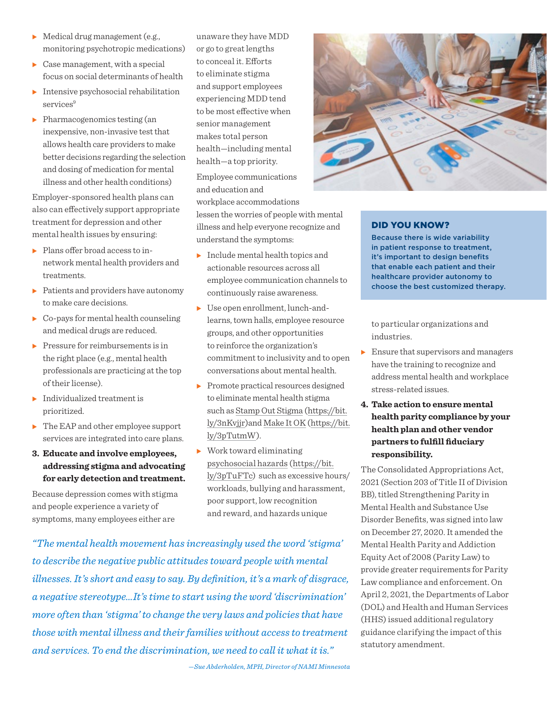- $\blacktriangleright$  Medical drug management (e.g., monitoring psychotropic medications)
- $\triangleright$  Case management, with a special focus on social determinants of health
- Intensive psychosocial rehabilitation services<sup>9</sup>
- $\blacktriangleright$  Pharmacogenomics testing (an inexpensive, non-invasive test that allows health care providers to make better decisions regarding the selection and dosing of medication for mental illness and other health conditions)

Employer-sponsored health plans can also can effectively support appropriate treatment for depression and other mental health issues by ensuring:

- Plans offer broad access to innetwork mental health providers and treatments.
- $\blacktriangleright$  Patients and providers have autonomy to make care decisions.
- $\triangleright$  Co-pays for mental health counseling and medical drugs are reduced.
- $\blacktriangleright$  Pressure for reimbursements is in the right place (e.g., mental health professionals are practicing at the top of their license).
- $\blacktriangleright$  Individualized treatment is prioritized.
- ▶ The EAP and other employee support services are integrated into care plans.
- **3. Educate and involve employees, addressing stigma and advocating for early detection and treatment.**

Because depression comes with stigma and people experience a variety of symptoms, many employees either are

unaware they have MDD or go to great lengths to conceal it. Efforts to eliminate stigma and support employees experiencing MDD tend to be most effective when senior management makes total person health—including mental health—a top priority.

Employee communications and education and workplace accommodations lessen the worries of people with mental illness and help everyone recognize and understand the symptoms:

- Include mental health topics and actionable resources across all employee communication channels to continuously raise awareness.
- Use open enrollment, lunch-andlearns, town halls, employee resource groups, and other opportunities to reinforce the organization's commitment to inclusivity and to open conversations about mental health.
- Promote practical resources designed to eliminate mental health stigma such as [Stamp Out Stigma](https://www.stampoutstigma.com/) ([https://bit.](https://www.stampoutstigma.com/) [ly/3nKvjjr](https://www.stampoutstigma.com/))and [Make It OK](https://makeitok.org/) ([https://bit.](https://makeitok.org/) [ly/3pTutmW\)](https://makeitok.org/).
- Work toward eliminating [psychosocial hazards](https://www.ncbi.nlm.nih.gov/pmc/articles/PMC5285308/) ([https://bit.](https://www.ncbi.nlm.nih.gov/pmc/articles/PMC5285308/) [ly/3pTuFTc\)](https://www.ncbi.nlm.nih.gov/pmc/articles/PMC5285308/) such as excessive hours/ workloads, bullying and harassment, poor support, low recognition and reward, and hazards unique

*"The mental health movement has increasingly used the word 'stigma' to describe the negative public attitudes toward people with mental illnesses. It's short and easy to say. By definition, it's a mark of disgrace, a negative stereotype…It's time to start using the word 'discrimination' more often than 'stigma' to change the very laws and policies that have those with mental illness and their families without access to treatment and services. To end the discrimination, we need to call it what it is."*

## DID YOU KNOW?

Because there is wide variability in patient response to treatment, it's important to design benefits that enable each patient and their healthcare provider autonomy to choose the best customized therapy.

to particular organizations and industries.

- Ensure that supervisors and managers have the training to recognize and address mental health and workplace stress-related issues.
- **4. Take action to ensure mental health parity compliance by your health plan and other vendor partners to fulfill fiduciary responsibility.**

The Consolidated Appropriations Act, 2021 (Section 203 of Title II of Division BB), titled Strengthening Parity in Mental Health and Substance Use Disorder Benefits, was signed into law on December 27, 2020. It amended the Mental Health Parity and Addiction Equity Act of 2008 (Parity Law) to provide greater requirements for Parity Law compliance and enforcement. On April 2, 2021, the Departments of Labor (DOL) and Health and Human Services (HHS) issued additional regulatory guidance clarifying the impact of this statutory amendment.

*—Sue Abderholden, MPH, Director of NAMI Minnesota*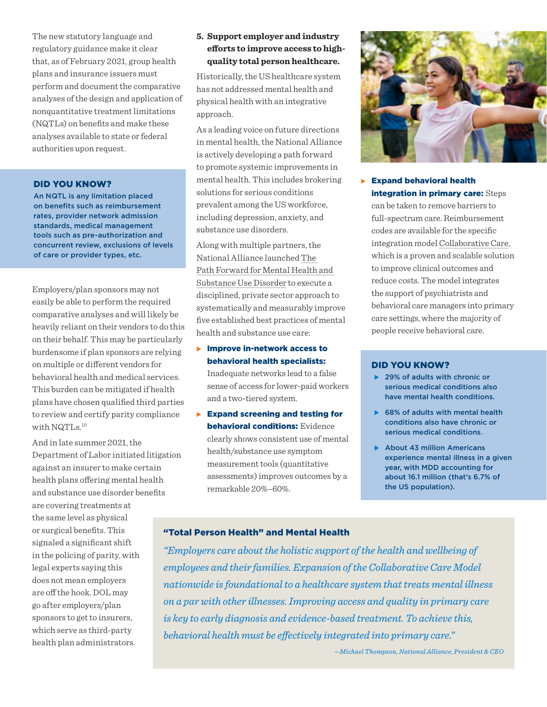The new statutory language and regulatory guidance make it clear that, as of February 2021, group health plans and insurance issuers must perform and document the comparative analyses of the design and application of nonquantitative treatment limitations (NQTLs) on benefits and make these analyses available to state or federal authorities upon request.

## DID YOU KNOW?

An NQTL is any limitation placed on benefits such as reimbursement rates, provider network admission standards, medical management tools such as pre-authorization and concurrent review, exclusions of levels of care or provider types, etc.

Employers/plan sponsors may not easily be able to perform the required comparative analyses and will likely be heavily reliant on their vendors to do this on their behalf. This may be particularly burdensome if plan sponsors are relying on multiple or different vendors for behavioral health and medical services. This burden can be mitigated if health plans have chosen qualified third parties to review and certify parity compliance with NQTLs.<sup>10</sup>

And in late summer 2021, the Department of Labor initiated litigation against an insurer to make certain health plans offering mental health and substance use disorder benefits are covering treatments at the same level as physical or surgical benefits. This signaled a significant shift in the policing of parity, with [legal experts saying](https://news.bloomberglaw.com/health-law-and-business/employers-on-hook-for-mental-health-parity-despite-new-target) this does not mean employers are off the hook. DOL may go after employers/plan sponsors to get to insurers, which serve as third-party health plan administrators.

## **5. Support employer and industry efforts to improve access to highquality total person healthcare.**

Historically, the US healthcare system has not addressed mental health and physical health with an integrative approach.

As a leading voice on future directions in mental health, the National Alliance is actively developing a path forward to promote systemic improvements in mental health. This includes brokering solutions for serious conditions prevalent among the US workforce, including depression, anxiety, and substance use disorders.

Along with multiple partners, the National Alliance launched [The](file:/Volumes/KT%20Elements%20SE/NAHPC/%20ACTION%20BRIEFS/2021%20MDD/Text/wnload.s3.amazonaws.com/NAHPC/3d988744-80e1-414b-8881-aa2c98621788/UploadedImages/One-Page_Path_Forward_Summary_03_26_21_LW_1318.pdf)  [Path Forward for Mental Health and](file:/Volumes/KT%20Elements%20SE/NAHPC/%20ACTION%20BRIEFS/2021%20MDD/Text/wnload.s3.amazonaws.com/NAHPC/3d988744-80e1-414b-8881-aa2c98621788/UploadedImages/One-Page_Path_Forward_Summary_03_26_21_LW_1318.pdf)  [Substance Use Disorder](file:/Volumes/KT%20Elements%20SE/NAHPC/%20ACTION%20BRIEFS/2021%20MDD/Text/wnload.s3.amazonaws.com/NAHPC/3d988744-80e1-414b-8881-aa2c98621788/UploadedImages/One-Page_Path_Forward_Summary_03_26_21_LW_1318.pdf) to execute a disciplined, private sector approach to systematically and measurably improve five established best practices of mental health and substance use care:

**Improve in-network access to** behavioral health specialists:

Inadequate networks lead to a false sense of access for lower-paid workers and a two-tiered system.

**Expand screening and testing for behavioral conditions: Evidence** clearly shows consistent use of mental health/substance use symptom measurement tools (quantitative assessments) improves outcomes by a remarkable 20%–60%.



**Expand behavioral health** integration in primary care: Steps

can be taken to remove barriers to full-spectrum care. Reimbursement codes are available for the specific integration model [Collaborative Care](https://www.psychiatry.org/psychiatrists/practice/professional-interests/integrated-care/learn), which is a proven and scalable solution to improve clinical outcomes and reduce costs. The model integrates the support of psychiatrists and behavioral care managers into primary care settings, where the majority of people receive behavioral care.

## DID YOU KNOW?

- ▶ 29% of adults with chronic or serious medical conditions also have mental health conditions.
- ▶ 68% of adults with mental health conditions also have chronic or serious medical conditions.
- ▶ About 43 million Americans experience mental illness in a given year, with MDD accounting for about 16.1 million (that's 6.7% of the US population).

## "Total Person Health" and Mental Health

*"Employers care about the holistic support of the health and wellbeing of employees and their families. Expansion of the Collaborative Care Model nationwide is foundational to a healthcare system that treats mental illness on a par with other illnesses. Improving access and quality in primary care is key to early diagnosis and evidence-based treatment. To achieve this, behavioral health must be effectively integrated into primary care."*

*—Michael Thompson, National Alliance, President & CEO*